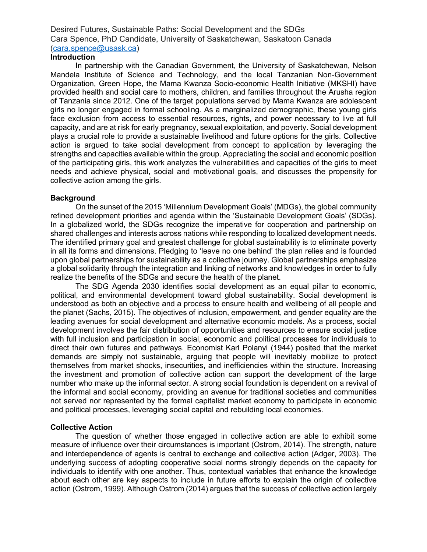Desired Futures, Sustainable Paths: Social Development and the SDGs Cara Spence, PhD Candidate, University of Saskatchewan, Saskatoon Canada (cara.spence@usask.ca)

### **Introduction**

In partnership with the Canadian Government, the University of Saskatchewan, Nelson Mandela Institute of Science and Technology, and the local Tanzanian Non-Government Organization, Green Hope, the Mama Kwanza Socio-economic Health Initiative (MKSHI) have provided health and social care to mothers, children, and families throughout the Arusha region of Tanzania since 2012. One of the target populations served by Mama Kwanza are adolescent girls no longer engaged in formal schooling. As a marginalized demographic, these young girls face exclusion from access to essential resources, rights, and power necessary to live at full capacity, and are at risk for early pregnancy, sexual exploitation, and poverty. Social development plays a crucial role to provide a sustainable livelihood and future options for the girls. Collective action is argued to take social development from concept to application by leveraging the strengths and capacities available within the group. Appreciating the social and economic position of the participating girls, this work analyzes the vulnerabilities and capacities of the girls to meet needs and achieve physical, social and motivational goals, and discusses the propensity for collective action among the girls.

### **Background**

On the sunset of the 2015 'Millennium Development Goals' (MDGs), the global community refined development priorities and agenda within the 'Sustainable Development Goals' (SDGs). In a globalized world, the SDGs recognize the imperative for cooperation and partnership on shared challenges and interests across nations while responding to localized development needs. The identified primary goal and greatest challenge for global sustainability is to eliminate poverty in all its forms and dimensions. Pledging to 'leave no one behind' the plan relies and is founded upon global partnerships for sustainability as a collective journey. Global partnerships emphasize a global solidarity through the integration and linking of networks and knowledges in order to fully realize the benefits of the SDGs and secure the health of the planet.

The SDG Agenda 2030 identifies social development as an equal pillar to economic, political, and environmental development toward global sustainability. Social development is understood as both an objective and a process to ensure health and wellbeing of all people and the planet (Sachs, 2015). The objectives of inclusion, empowerment, and gender equality are the leading avenues for social development and alternative economic models. As a process, social development involves the fair distribution of opportunities and resources to ensure social justice with full inclusion and participation in social, economic and political processes for individuals to direct their own futures and pathways. Economist Karl Polanyi (1944) posited that the market demands are simply not sustainable, arguing that people will inevitably mobilize to protect themselves from market shocks, insecurities, and inefficiencies within the structure. Increasing the investment and promotion of collective action can support the development of the large number who make up the informal sector. A strong social foundation is dependent on a revival of the informal and social economy, providing an avenue for traditional societies and communities not served nor represented by the formal capitalist market economy to participate in economic and political processes, leveraging social capital and rebuilding local economies.

### **Collective Action**

The question of whether those engaged in collective action are able to exhibit some measure of influence over their circumstances is important (Ostrom, 2014). The strength, nature and interdependence of agents is central to exchange and collective action (Adger, 2003). The underlying success of adopting cooperative social norms strongly depends on the capacity for individuals to identify with one another. Thus, contextual variables that enhance the knowledge about each other are key aspects to include in future efforts to explain the origin of collective action (Ostrom, 1999). Although Ostrom (2014) argues that the success of collective action largely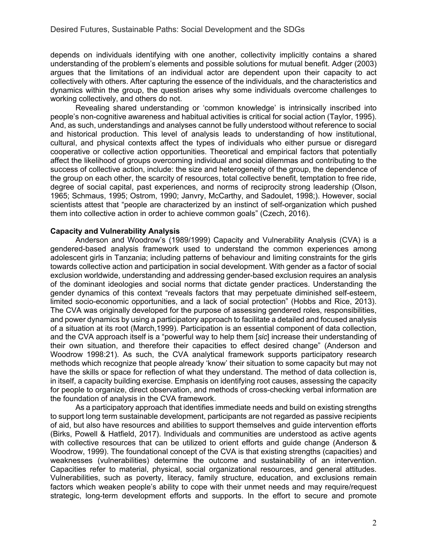depends on individuals identifying with one another, collectivity implicitly contains a shared understanding of the problem's elements and possible solutions for mutual benefit. Adger (2003) argues that the limitations of an individual actor are dependent upon their capacity to act collectively with others. After capturing the essence of the individuals, and the characteristics and dynamics within the group, the question arises why some individuals overcome challenges to working collectively, and others do not.

Revealing shared understanding or 'common knowledge' is intrinsically inscribed into people's non-cognitive awareness and habitual activities is critical for social action (Taylor, 1995). And, as such, understandings and analyses cannot be fully understood without reference to social and historical production. This level of analysis leads to understanding of how institutional, cultural, and physical contexts affect the types of individuals who either pursue or disregard cooperative or collective action opportunities. Theoretical and empirical factors that potentially affect the likelihood of groups overcoming individual and social dilemmas and contributing to the success of collective action, include: the size and heterogeneity of the group, the dependence of the group on each other, the scarcity of resources, total collective benefit, temptation to free ride, degree of social capital, past experiences, and norms of reciprocity strong leadership (Olson, 1965; Schmaus, 1995; Ostrom, 1990; Janvry, McCarthy, and Sadoulet, 1998;). However, social scientists attest that "people are characterized by an instinct of self-organization which pushed them into collective action in order to achieve common goals" (Czech, 2016).

### **Capacity and Vulnerability Analysis**

Anderson and Woodrow's (1989/1999) Capacity and Vulnerability Analysis (CVA) is a gendered-based analysis framework used to understand the common experiences among adolescent girls in Tanzania; including patterns of behaviour and limiting constraints for the girls towards collective action and participation in social development. With gender as a factor of social exclusion worldwide, understanding and addressing gender-based exclusion requires an analysis of the dominant ideologies and social norms that dictate gender practices. Understanding the gender dynamics of this context "reveals factors that may perpetuate diminished self-esteem, limited socio-economic opportunities, and a lack of social protection" (Hobbs and Rice, 2013). The CVA was originally developed for the purpose of assessing gendered roles, responsibilities, and power dynamics by using a participatory approach to facilitate a detailed and focused analysis of a situation at its root (March,1999). Participation is an essential component of data collection, and the CVA approach itself is a "powerful way to help them [*sic*] increase their understanding of their own situation, and therefore their capacities to effect desired change" (Anderson and Woodrow 1998:21). As such, the CVA analytical framework supports participatory research methods which recognize that people already 'know' their situation to some capacity but may not have the skills or space for reflection of what they understand. The method of data collection is, in itself, a capacity building exercise. Emphasis on identifying root causes, assessing the capacity for people to organize, direct observation, and methods of cross-checking verbal information are the foundation of analysis in the CVA framework.

As a participatory approach that identifies immediate needs and build on existing strengths to support long term sustainable development, participants are not regarded as passive recipients of aid, but also have resources and abilities to support themselves and guide intervention efforts (Birks, Powell & Hatfield, 2017). Individuals and communities are understood as active agents with collective resources that can be utilized to orient efforts and guide change (Anderson & Woodrow, 1999). The foundational concept of the CVA is that existing strengths (capacities) and weaknesses (vulnerabilities) determine the outcome and sustainability of an intervention. Capacities refer to material, physical, social organizational resources, and general attitudes. Vulnerabilities, such as poverty, literacy, family structure, education, and exclusions remain factors which weaken people's ability to cope with their unmet needs and may require/request strategic, long-term development efforts and supports. In the effort to secure and promote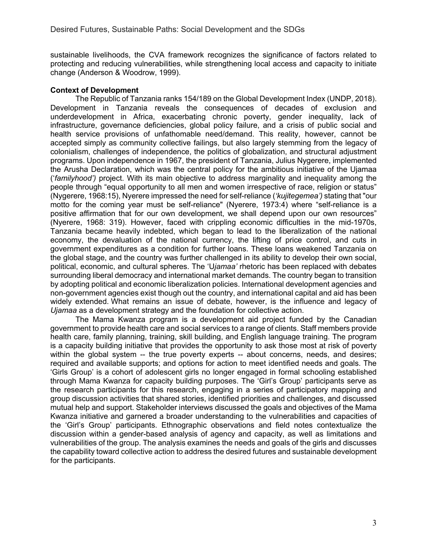sustainable livelihoods, the CVA framework recognizes the significance of factors related to protecting and reducing vulnerabilities, while strengthening local access and capacity to initiate change (Anderson & Woodrow, 1999).

# **Context of Development**

The Republic of Tanzania ranks 154/189 on the Global Development Index (UNDP, 2018). Development in Tanzania reveals the consequences of decades of exclusion and underdevelopment in Africa, exacerbating chronic poverty, gender inequality, lack of infrastructure, governance deficiencies, global policy failure, and a crisis of public social and health service provisions of unfathomable need/demand. This reality, however, cannot be accepted simply as community collective failings, but also largely stemming from the legacy of colonialism, challenges of independence, the politics of globalization, and structural adjustment programs. Upon independence in 1967, the president of Tanzania, Julius Nygerere, implemented the Arusha Declaration, which was the central policy for the ambitious initiative of the Ujamaa ('*familyhood')* project. With its main objective to address marginality and inequality among the people through "equal opportunity to all men and women irrespective of race, religion or status" (Nygerere, 1968:15), Nyerere impressed the need for self-reliance (*'kujitegemea')* stating that "our motto for the coming year must be self-reliance" (Nyerere, 1973:4) where "self-reliance is a positive affirmation that for our own development, we shall depend upon our own resources" (Nyerere, 1968: 319). However, faced with crippling economic difficulties in the mid-1970s, Tanzania became heavily indebted, which began to lead to the liberalization of the national economy, the devaluation of the national currency, the lifting of price control, and cuts in government expenditures as a condition for further loans. These loans weakened Tanzania on the global stage, and the country was further challenged in its ability to develop their own social, political, economic, and cultural spheres. The 'U*jamaa'* rhetoric has been replaced with debates surrounding liberal democracy and international market demands. The country began to transition by adopting political and economic liberalization policies. International development agencies and non-government agencies exist though out the country, and international capital and aid has been widely extended. What remains an issue of debate, however, is the influence and legacy of *Ujamaa* as a development strategy and the foundation for collective action.

The Mama Kwanza program is a development aid project funded by the Canadian government to provide health care and social services to a range of clients. Staff members provide health care, family planning, training, skill building, and English language training. The program is a capacity building initiative that provides the opportunity to ask those most at risk of poverty within the global system -- the true poverty experts -- about concerns, needs, and desires; required and available supports; and options for action to meet identified needs and goals. The 'Girls Group' is a cohort of adolescent girls no longer engaged in formal schooling established through Mama Kwanza for capacity building purposes. The 'Girl's Group' participants serve as the research participants for this research, engaging in a series of participatory mapping and group discussion activities that shared stories, identified priorities and challenges, and discussed mutual help and support. Stakeholder interviews discussed the goals and objectives of the Mama Kwanza initiative and garnered a broader understanding to the vulnerabilities and capacities of the 'Girl's Group' participants. Ethnographic observations and field notes contextualize the discussion within a gender-based analysis of agency and capacity, as well as limitations and vulnerabilities of the group. The analysis examines the needs and goals of the girls and discusses the capability toward collective action to address the desired futures and sustainable development for the participants.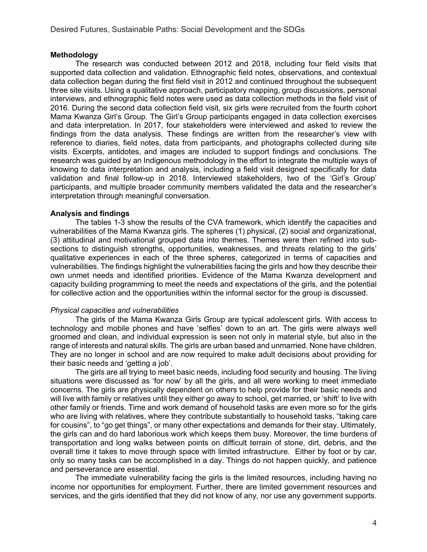## **Methodology**

The research was conducted between 2012 and 2018, including four field visits that supported data collection and validation. Ethnographic field notes, observations, and contextual data collection began during the first field visit in 2012 and continued throughout the subsequent three site visits. Using a qualitative approach, participatory mapping, group discussions, personal interviews, and ethnographic field notes were used as data collection methods in the field visit of 2016. During the second data collection field visit, six girls were recruited from the fourth cohort Mama Kwanza Girl's Group. The Girl's Group participants engaged in data collection exercises and data interpretation. In 2017, four stakeholders were interviewed and asked to review the findings from the data analysis. These findings are written from the researcher's view with reference to diaries, field notes, data from participants, and photographs collected during site visits. Excerpts, antidotes, and images are included to support findings and conclusions. The research was guided by an Indigenous methodology in the effort to integrate the multiple ways of knowing to data interpretation and analysis, including a field visit designed specifically for data validation and final follow-up in 2018. Interviewed stakeholders, two of the 'Girl's Group' participants, and multiple broader community members validated the data and the researcher's interpretation through meaningful conversation.

## **Analysis and findings**

The tables 1-3 show the results of the CVA framework, which identify the capacities and vulnerabilities of the Mama Kwanza girls. The spheres (1) physical, (2) social and organizational, (3) attitudinal and motivational grouped data into themes. Themes were then refined into subsections to distinguish strengths, opportunities, weaknesses, and threats relating to the girls' qualitative experiences in each of the three spheres, categorized in terms of capacities and vulnerabilities. The findings highlight the vulnerabilities facing the girls and how they describe their own unmet needs and identified priorities. Evidence of the Mama Kwanza development and capacity building programming to meet the needs and expectations of the girls, and the potential for collective action and the opportunities within the informal sector for the group is discussed.

## *Physical capacities and vulnerabilities*

The girls of the Mama Kwanza Girls Group are typical adolescent girls. With access to technology and mobile phones and have 'selfies' down to an art. The girls were always well groomed and clean, and individual expression is seen not only in material style, but also in the range of interests and natural skills. The girls are urban based and unmarried. None have children. They are no longer in school and are now required to make adult decisions about providing for their basic needs and 'getting a job'.

The girls are all trying to meet basic needs, including food security and housing. The living situations were discussed as 'for now' by all the girls, and all were working to meet immediate concerns*.* The girls are physically dependent on others to help provide for their basic needs and will live with family or relatives until they either go away to school, get married, or 'shift' to live with other family or friends. Time and work demand of household tasks are even more so for the girls who are living with relatives, where they contribute substantially to household tasks, "taking care for cousins", to "go get things", or many other expectations and demands for their stay. Ultimately, the girls can and do hard laborious work which keeps them busy. Moreover, the time burdens of transportation and long walks between points on difficult terrain of stone, dirt, debris, and the overall time it takes to move through space with limited infrastructure. Either by foot or by car, only so many tasks can be accomplished in a day. Things do not happen quickly, and patience and perseverance are essential.

The immediate vulnerability facing the girls is the limited resources, including having no income nor opportunities for employment. Further, there are limited government resources and services, and the girls identified that they did not know of any, nor use any government supports.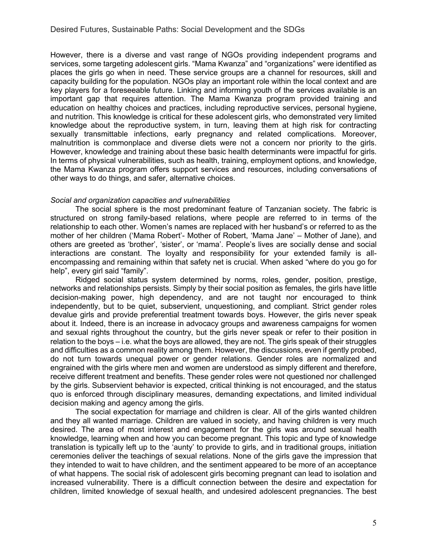However, there is a diverse and vast range of NGOs providing independent programs and services, some targeting adolescent girls. "Mama Kwanza" and "organizations" were identified as places the girls go when in need. These service groups are a channel for resources, skill and capacity building for the population. NGOs play an important role within the local context and are key players for a foreseeable future. Linking and informing youth of the services available is an important gap that requires attention. The Mama Kwanza program provided training and education on healthy choices and practices, including reproductive services, personal hygiene, and nutrition. This knowledge is critical for these adolescent girls, who demonstrated very limited knowledge about the reproductive system, in turn, leaving them at high risk for contracting sexually transmittable infections, early pregnancy and related complications. Moreover, malnutrition is commonplace and diverse diets were not a concern nor priority to the girls. However, knowledge and training about these basic health determinants were impactful for girls. In terms of physical vulnerabilities, such as health, training, employment options, and knowledge, the Mama Kwanza program offers support services and resources, including conversations of other ways to do things, and safer, alternative choices.

### *Social and organization capacities and vulnerabilities*

The social sphere is the most predominant feature of Tanzanian society. The fabric is structured on strong family-based relations, where people are referred to in terms of the relationship to each other. Women's names are replaced with her husband's or referred to as the mother of her children ('Mama Robert'- Mother of Robert, 'Mama Jane' – Mother of Jane), and others are greeted as 'brother', 'sister', or 'mama'. People's lives are socially dense and social interactions are constant. The loyalty and responsibility for your extended family is allencompassing and remaining within that safety net is crucial. When asked "where do you go for help", every girl said "family".

Ridged social status system determined by norms, roles, gender, position, prestige, networks and relationships persists. Simply by their social position as females, the girls have little decision-making power, high dependency, and are not taught nor encouraged to think independently, but to be quiet, subservient, unquestioning, and compliant. Strict gender roles devalue girls and provide preferential treatment towards boys. However, the girls never speak about it. Indeed, there is an increase in advocacy groups and awareness campaigns for women and sexual rights throughout the country, but the girls never speak or refer to their position in relation to the boys – i.e. what the boys are allowed, they are not. The girls speak of their struggles and difficulties as a common reality among them. However, the discussions, even if gently probed, do not turn towards unequal power or gender relations. Gender roles are normalized and engrained with the girls where men and women are understood as simply different and therefore, receive different treatment and benefits. These gender roles were not questioned nor challenged by the girls. Subservient behavior is expected, critical thinking is not encouraged, and the status quo is enforced through disciplinary measures, demanding expectations, and limited individual decision making and agency among the girls.

The social expectation for marriage and children is clear. All of the girls wanted children and they all wanted marriage. Children are valued in society, and having children is very much desired. The area of most interest and engagement for the girls was around sexual health knowledge, learning when and how you can become pregnant. This topic and type of knowledge translation is typically left up to the 'aunty' to provide to girls, and in traditional groups, initiation ceremonies deliver the teachings of sexual relations. None of the girls gave the impression that they intended to wait to have children, and the sentiment appeared to be more of an acceptance of what happens. The social risk of adolescent girls becoming pregnant can lead to isolation and increased vulnerability. There is a difficult connection between the desire and expectation for children, limited knowledge of sexual health, and undesired adolescent pregnancies. The best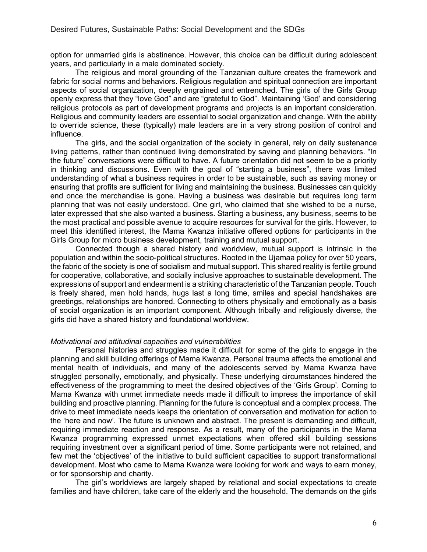option for unmarried girls is abstinence. However, this choice can be difficult during adolescent years, and particularly in a male dominated society.

The religious and moral grounding of the Tanzanian culture creates the framework and fabric for social norms and behaviors. Religious regulation and spiritual connection are important aspects of social organization, deeply engrained and entrenched. The girls of the Girls Group openly express that they "love God" and are "grateful to God". Maintaining 'God' and considering religious protocols as part of development programs and projects is an important consideration. Religious and community leaders are essential to social organization and change. With the ability to override science, these (typically) male leaders are in a very strong position of control and influence.

The girls, and the social organization of the society in general, rely on daily sustenance living patterns, rather than continued living demonstrated by saving and planning behaviors. "In the future" conversations were difficult to have. A future orientation did not seem to be a priority in thinking and discussions. Even with the goal of "starting a business", there was limited understanding of what a business requires in order to be sustainable, such as saving money or ensuring that profits are sufficient for living and maintaining the business. Businesses can quickly end once the merchandise is gone. Having a business was desirable but requires long term planning that was not easily understood. One girl, who claimed that she wished to be a nurse, later expressed that she also wanted a business. Starting a business, any business, seems to be the most practical and possible avenue to acquire resources for survival for the girls. However, to meet this identified interest, the Mama Kwanza initiative offered options for participants in the Girls Group for micro business development, training and mutual support.

Connected though a shared history and worldview, mutual support is intrinsic in the population and within the socio-political structures. Rooted in the Ujamaa policy for over 50 years, the fabric of the society is one of socialism and mutual support. This shared reality is fertile ground for cooperative, collaborative, and socially inclusive approaches to sustainable development. The expressions of support and endearment is a striking characteristic of the Tanzanian people. Touch is freely shared, men hold hands, hugs last a long time, smiles and special handshakes are greetings, relationships are honored. Connecting to others physically and emotionally as a basis of social organization is an important component. Although tribally and religiously diverse, the girls did have a shared history and foundational worldview.

#### *Motivational and attitudinal capacities and vulnerabilities*

Personal histories and struggles made it difficult for some of the girls to engage in the planning and skill building offerings of Mama Kwanza. Personal trauma affects the emotional and mental health of individuals, and many of the adolescents served by Mama Kwanza have struggled personally, emotionally, and physically. These underlying circumstances hindered the effectiveness of the programming to meet the desired objectives of the 'Girls Group'. Coming to Mama Kwanza with unmet immediate needs made it difficult to impress the importance of skill building and proactive planning. Planning for the future is conceptual and a complex process. The drive to meet immediate needs keeps the orientation of conversation and motivation for action to the 'here and now'. The future is unknown and abstract. The present is demanding and difficult, requiring immediate reaction and response. As a result, many of the participants in the Mama Kwanza programming expressed unmet expectations when offered skill building sessions requiring investment over a significant period of time. Some participants were not retained, and few met the 'objectives' of the initiative to build sufficient capacities to support transformational development. Most who came to Mama Kwanza were looking for work and ways to earn money, or for sponsorship and charity.

The girl's worldviews are largely shaped by relational and social expectations to create families and have children, take care of the elderly and the household. The demands on the girls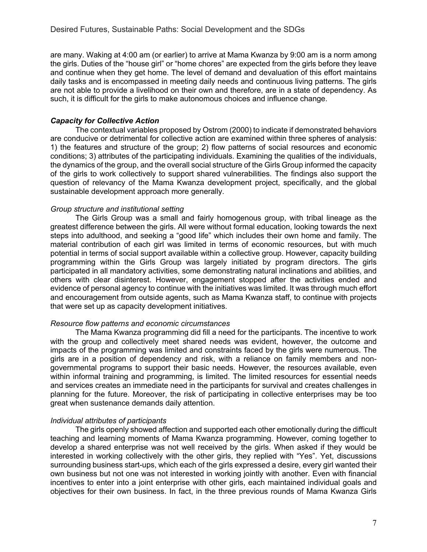are many. Waking at 4:00 am (or earlier) to arrive at Mama Kwanza by 9:00 am is a norm among the girls. Duties of the "house girl" or "home chores" are expected from the girls before they leave and continue when they get home. The level of demand and devaluation of this effort maintains daily tasks and is encompassed in meeting daily needs and continuous living patterns. The girls are not able to provide a livelihood on their own and therefore, are in a state of dependency. As such, it is difficult for the girls to make autonomous choices and influence change.

# *Capacity for Collective Action*

The contextual variables proposed by Ostrom (2000) to indicate if demonstrated behaviors are conducive or detrimental for collective action are examined within three spheres of analysis: 1) the features and structure of the group; 2) flow patterns of social resources and economic conditions; 3) attributes of the participating individuals. Examining the qualities of the individuals, the dynamics of the group, and the overall social structure of the Girls Group informed the capacity of the girls to work collectively to support shared vulnerabilities. The findings also support the question of relevancy of the Mama Kwanza development project, specifically, and the global sustainable development approach more generally.

## *Group structure and institutional setting*

The Girls Group was a small and fairly homogenous group, with tribal lineage as the greatest difference between the girls. All were without formal education, looking towards the next steps into adulthood, and seeking a "good life" which includes their own home and family. The material contribution of each girl was limited in terms of economic resources, but with much potential in terms of social support available within a collective group. However, capacity building programming within the Girls Group was largely initiated by program directors. The girls participated in all mandatory activities, some demonstrating natural inclinations and abilities, and others with clear disinterest. However, engagement stopped after the activities ended and evidence of personal agency to continue with the initiatives was limited. It was through much effort and encouragement from outside agents, such as Mama Kwanza staff, to continue with projects that were set up as capacity development initiatives.

## *Resource flow patterns and economic circumstances*

The Mama Kwanza programming did fill a need for the participants. The incentive to work with the group and collectively meet shared needs was evident, however, the outcome and impacts of the programming was limited and constraints faced by the girls were numerous. The girls are in a position of dependency and risk, with a reliance on family members and nongovernmental programs to support their basic needs. However, the resources available, even within informal training and programming, is limited. The limited resources for essential needs and services creates an immediate need in the participants for survival and creates challenges in planning for the future. Moreover, the risk of participating in collective enterprises may be too great when sustenance demands daily attention.

## *Individual attributes of participants*

The girls openly showed affection and supported each other emotionally during the difficult teaching and learning moments of Mama Kwanza programming. However, coming together to develop a shared enterprise was not well received by the girls. When asked if they would be interested in working collectively with the other girls, they replied with "Yes". Yet, discussions surrounding business start-ups, which each of the girls expressed a desire, every girl wanted their own business but not one was not interested in working jointly with another. Even with financial incentives to enter into a joint enterprise with other girls, each maintained individual goals and objectives for their own business. In fact, in the three previous rounds of Mama Kwanza Girls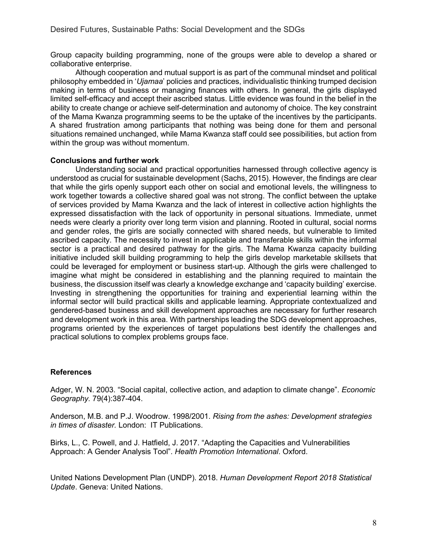Group capacity building programming, none of the groups were able to develop a shared or collaborative enterprise.

Although cooperation and mutual support is as part of the communal mindset and political philosophy embedded in '*Ujamaa*' policies and practices, individualistic thinking trumped decision making in terms of business or managing finances with others. In general, the girls displayed limited self-efficacy and accept their ascribed status. Little evidence was found in the belief in the ability to create change or achieve self-determination and autonomy of choice. The key constraint of the Mama Kwanza programming seems to be the uptake of the incentives by the participants. A shared frustration among participants that nothing was being done for them and personal situations remained unchanged, while Mama Kwanza staff could see possibilities, but action from within the group was without momentum.

## **Conclusions and further work**

Understanding social and practical opportunities harnessed through collective agency is understood as crucial for sustainable development (Sachs, 2015). However, the findings are clear that while the girls openly support each other on social and emotional levels, the willingness to work together towards a collective shared goal was not strong. The conflict between the uptake of services provided by Mama Kwanza and the lack of interest in collective action highlights the expressed dissatisfaction with the lack of opportunity in personal situations. Immediate, unmet needs were clearly a priority over long term vision and planning. Rooted in cultural, social norms and gender roles, the girls are socially connected with shared needs, but vulnerable to limited ascribed capacity. The necessity to invest in applicable and transferable skills within the informal sector is a practical and desired pathway for the girls. The Mama Kwanza capacity building initiative included skill building programming to help the girls develop marketable skillsets that could be leveraged for employment or business start-up. Although the girls were challenged to imagine what might be considered in establishing and the planning required to maintain the business, the discussion itself was clearly a knowledge exchange and 'capacity building' exercise. Investing in strengthening the opportunities for training and experiential learning within the informal sector will build practical skills and applicable learning. Appropriate contextualized and gendered-based business and skill development approaches are necessary for further research and development work in this area. With partnerships leading the SDG development approaches, programs oriented by the experiences of target populations best identify the challenges and practical solutions to complex problems groups face.

## **References**

Adger, W. N. 2003. "Social capital, collective action, and adaption to climate change". *Economic Geography.* 79(4):387-404.

Anderson, M.B. and P.J. Woodrow. 1998/2001. *Rising from the ashes: Development strategies in times of disaster.* London: IT Publications.

Birks, L., C. Powell, and J. Hatfield, J. 2017. "Adapting the Capacities and Vulnerabilities Approach: A Gender Analysis Tool". *Health Promotion International*. Oxford.

United Nations Development Plan (UNDP). 2018. *Human Development Report 2018 Statistical Update*. Geneva: United Nations.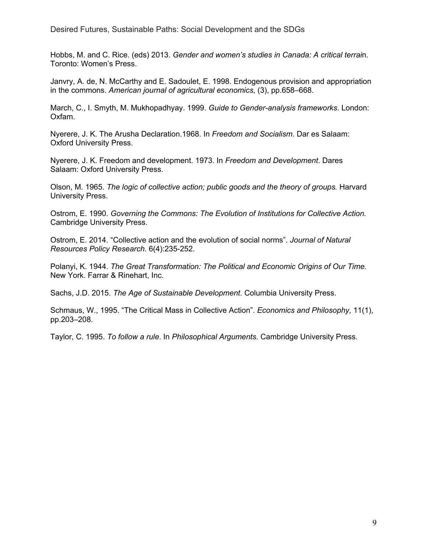Desired Futures, Sustainable Paths: Social Development and the SDGs

Hobbs, M. and C. Rice. (eds) 2013. *Gender and women's studies in Canada: A critical terrai*n. Toronto: Women's Press.

Janvry, A. de, N. McCarthy and E. Sadoulet, E. 1998. Endogenous provision and appropriation in the commons. *American journal of agricultural economics*, (3), pp.658–668.

March, C., I. Smyth, M. Mukhopadhyay. 1999. *Guide to Gender-analysis frameworks*. London: Oxfam.

Nyerere, J. K. The Arusha Declaration.1968. In *Freedom and Socialism*. Dar es Salaam: Oxford University Press.

Nyerere, J. K. Freedom and development. 1973. In *Freedom and Development*. Dares Salaam: Oxford University Press.

Olson, M. 1965. *The logic of collective action; public goods and the theory of groups.* Harvard University Press.

Ostrom, E. 1990. *Governing the Commons: The Evolution of Institutions for Collective Action.* Cambridge University Press.

Ostrom, E. 2014. "Collective action and the evolution of social norms". *Journal of Natural Resources Policy Research.* 6(4):235-252.

Polanyi, K. 1944. *The Great Transformation: The Political and Economic Origins of Our Time.* New York. Farrar & Rinehart, Inc.

Sachs, J.D. 2015. *The Age of Sustainable Development*. Columbia University Press.

Schmaus, W., 1995. "The Critical Mass in Collective Action". *Economics and Philosophy*, 11(1), pp.203–208.

Taylor, C. 1995. *To follow a rule*. In *Philosophical Arguments.* Cambridge University Press.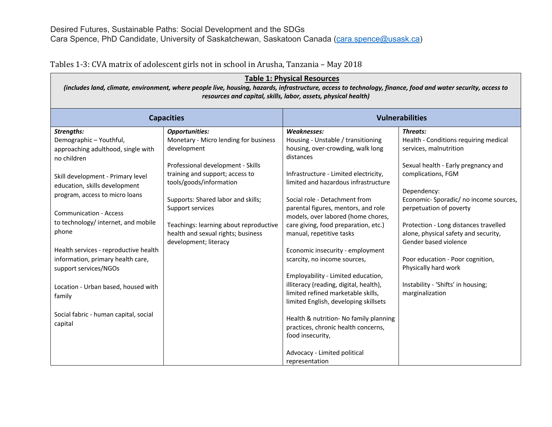Tables 1-3: CVA matrix of adolescent girls not in school in Arusha, Tanzania - May 2018

| <b>Table 1: Physical Resources</b><br>(includes land, climate, environment, where people live, housing, hazards, infrastructure, access to technology, finance, food and water security, access to<br>resources and capital, skills, labor, assets, physical health)                                                                                                                                                                                                                          |                                                                                                                                                                                                                                                                                                                                                     |                                                                                                                                                                                                                                                                                                                                                                                                                                                                                                                                                                                                                                                                                                                       |                                                                                                                                                                                                                                                                                                                                                                                                                                                            |  |  |  |  |
|-----------------------------------------------------------------------------------------------------------------------------------------------------------------------------------------------------------------------------------------------------------------------------------------------------------------------------------------------------------------------------------------------------------------------------------------------------------------------------------------------|-----------------------------------------------------------------------------------------------------------------------------------------------------------------------------------------------------------------------------------------------------------------------------------------------------------------------------------------------------|-----------------------------------------------------------------------------------------------------------------------------------------------------------------------------------------------------------------------------------------------------------------------------------------------------------------------------------------------------------------------------------------------------------------------------------------------------------------------------------------------------------------------------------------------------------------------------------------------------------------------------------------------------------------------------------------------------------------------|------------------------------------------------------------------------------------------------------------------------------------------------------------------------------------------------------------------------------------------------------------------------------------------------------------------------------------------------------------------------------------------------------------------------------------------------------------|--|--|--|--|
| <b>Capacities</b>                                                                                                                                                                                                                                                                                                                                                                                                                                                                             |                                                                                                                                                                                                                                                                                                                                                     | <b>Vulnerabilities</b>                                                                                                                                                                                                                                                                                                                                                                                                                                                                                                                                                                                                                                                                                                |                                                                                                                                                                                                                                                                                                                                                                                                                                                            |  |  |  |  |
| Strengths:<br>Demographic-Youthful,<br>approaching adulthood, single with<br>no children<br>Skill development - Primary level<br>education, skills development<br>program, access to micro loans<br><b>Communication - Access</b><br>to technology/ internet, and mobile<br>phone<br>Health services - reproductive health<br>information, primary health care,<br>support services/NGOs<br>Location - Urban based, housed with<br>family<br>Social fabric - human capital, social<br>capital | <b>Opportunities:</b><br>Monetary - Micro lending for business<br>development<br>Professional development - Skills<br>training and support; access to<br>tools/goods/information<br>Supports: Shared labor and skills;<br>Support services<br>Teachings: learning about reproductive<br>health and sexual rights; business<br>development; literacy | <b>Weaknesses:</b><br>Housing - Unstable / transitioning<br>housing, over-crowding, walk long<br>distances<br>Infrastructure - Limited electricity,<br>limited and hazardous infrastructure<br>Social role - Detachment from<br>parental figures, mentors, and role<br>models, over labored (home chores,<br>care giving, food preparation, etc.)<br>manual, repetitive tasks<br>Economic insecurity - employment<br>scarcity, no income sources,<br>Employability - Limited education,<br>illiteracy (reading, digital, health),<br>limited refined marketable skills,<br>limited English, developing skillsets<br>Health & nutrition- No family planning<br>practices, chronic health concerns,<br>food insecurity, | Threats:<br>Health - Conditions requiring medical<br>services, malnutrition<br>Sexual health - Early pregnancy and<br>complications, FGM<br>Dependency:<br>Economic-Sporadic/ no income sources,<br>perpetuation of poverty<br>Protection - Long distances travelled<br>alone, physical safety and security,<br>Gender based violence<br>Poor education - Poor cognition,<br>Physically hard work<br>Instability - 'Shifts' in housing;<br>marginalization |  |  |  |  |
|                                                                                                                                                                                                                                                                                                                                                                                                                                                                                               |                                                                                                                                                                                                                                                                                                                                                     | Advocacy - Limited political<br>representation                                                                                                                                                                                                                                                                                                                                                                                                                                                                                                                                                                                                                                                                        |                                                                                                                                                                                                                                                                                                                                                                                                                                                            |  |  |  |  |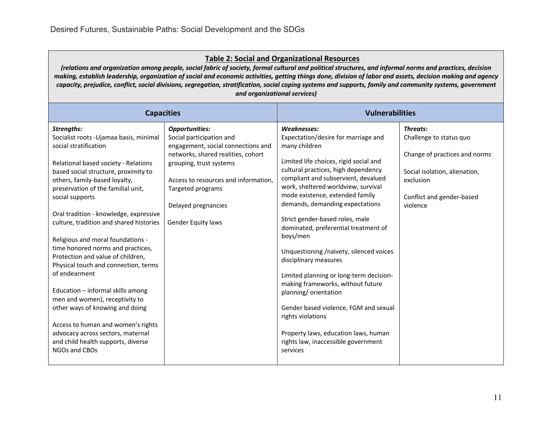# **Table 2: Social and Organizational Resources**

*(relations and organization among people, social fabric of society, formal cultural and political structures, and informal norms and practices, decision making, establish leadership, organization of social and economic activities, getting things done, division of labor and assets, decision making and agency capacity, prejudice, conflict, social divisions, segregation, stratification, social coping systems and supports, family and community systems, government and organizational services)*

| <b>Capacities</b>                                                                                                                                                                                                                                                                                                                                                                                                                                                                                                                                                                                                                                                                                                                                                 |                                                                                                                                                                                                                                                                    | <b>Vulnerabilities</b>                                                                                                                                                                                                                                                                                                                                                                                                                                                                                                                                                                                                                                                                                                                       |                                                                                                                                                             |
|-------------------------------------------------------------------------------------------------------------------------------------------------------------------------------------------------------------------------------------------------------------------------------------------------------------------------------------------------------------------------------------------------------------------------------------------------------------------------------------------------------------------------------------------------------------------------------------------------------------------------------------------------------------------------------------------------------------------------------------------------------------------|--------------------------------------------------------------------------------------------------------------------------------------------------------------------------------------------------------------------------------------------------------------------|----------------------------------------------------------------------------------------------------------------------------------------------------------------------------------------------------------------------------------------------------------------------------------------------------------------------------------------------------------------------------------------------------------------------------------------------------------------------------------------------------------------------------------------------------------------------------------------------------------------------------------------------------------------------------------------------------------------------------------------------|-------------------------------------------------------------------------------------------------------------------------------------------------------------|
| Strengths:<br>Socialist roots - Ujamaa basis, minimal<br>social stratification<br>Relational based society - Relations<br>based social structure, proximity to<br>others, family-based loyalty,<br>preservation of the familial unit,<br>social supports<br>Oral tradition - knowledge, expressive<br>culture, tradition and shared histories<br>Religious and moral foundations -<br>time honored norms and practices,<br>Protection and value of children,<br>Physical touch and connection, terms<br>of endearment<br>Education - informal skills among<br>men and women), receptivity to<br>other ways of knowing and doing<br>Access to human and women's rights<br>advocacy across sectors, maternal<br>and child health supports, diverse<br>NGOs and CBOs | <b>Opportunities:</b><br>Social participation and<br>engagement, social connections and<br>networks, shared realities, cohort<br>grouping, trust systems<br>Access to resources and information.<br>Targeted programs<br>Delayed pregnancies<br>Gender Equity laws | <b>Weaknesses:</b><br>Expectation/desire for marriage and<br>many children<br>Limited life choices, rigid social and<br>cultural practices, high dependency<br>compliant and subservient, devalued<br>work, sheltered worldview, survival<br>mode existence, extended family<br>demands, demanding expectations<br>Strict gender-based roles, male<br>dominated, preferential treatment of<br>boys/men<br>Unquestioning /naivety, silenced voices<br>disciplinary measures<br>Limited planning or long-term decision-<br>making frameworks, without future<br>planning/ orientation<br>Gender based violence, FGM and sexual<br>rights violations<br>Property laws, education laws, human<br>rights law, inaccessible government<br>services | Threats:<br>Challenge to status quo<br>Change of practices and norms<br>Social isolation, alienation,<br>exclusion<br>Conflict and gender-based<br>violence |